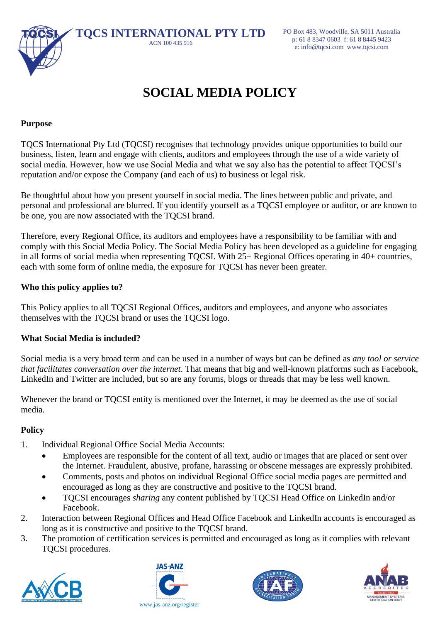

# **SOCIAL MEDIA POLICY**

## **Purpose**

TQCS International Pty Ltd (TQCSI) recognises that technology provides unique opportunities to build our business, listen, learn and engage with clients, auditors and employees through the use of a wide variety of social media. However, how we use Social Media and what we say also has the potential to affect TQCSI's reputation and/or expose the Company (and each of us) to business or legal risk.

Be thoughtful about how you present yourself in social media. The lines between public and private, and personal and professional are blurred. If you identify yourself as a TQCSI employee or auditor, or are known to be one, you are now associated with the TQCSI brand.

Therefore, every Regional Office, its auditors and employees have a responsibility to be familiar with and comply with this Social Media Policy. The Social Media Policy has been developed as a guideline for engaging in all forms of social media when representing TQCSI. With 25+ Regional Offices operating in 40+ countries, each with some form of online media, the exposure for TQCSI has never been greater.

## **Who this policy applies to?**

This Policy applies to all TQCSI Regional Offices, auditors and employees, and anyone who associates themselves with the TQCSI brand or uses the TQCSI logo.

### **What Social Media is included?**

Social media is a very broad term and can be used in a number of ways but can be defined as *any tool or service that facilitates conversation over the internet*. That means that big and well-known platforms such as Facebook, LinkedIn and Twitter are included, but so are any forums, blogs or threads that may be less well known.

Whenever the brand or TQCSI entity is mentioned over the Internet, it may be deemed as the use of social media.

### **Policy**

- 1. Individual Regional Office Social Media Accounts:
	- Employees are responsible for the content of all text, audio or images that are placed or sent over the Internet. Fraudulent, abusive, profane, harassing or obscene messages are expressly prohibited.
	- Comments, posts and photos on individual Regional Office social media pages are permitted and encouraged as long as they are constructive and positive to the TQCSI brand.
	- TQCSI encourages *sharing* any content published by TQCSI Head Office on LinkedIn and/or Facebook.
- 2. Interaction between Regional Offices and Head Office Facebook and LinkedIn accounts is encouraged as long as it is constructive and positive to the TQCSI brand.
- 3. The promotion of certification services is permitted and encouraged as long as it complies with relevant TQCSI procedures.